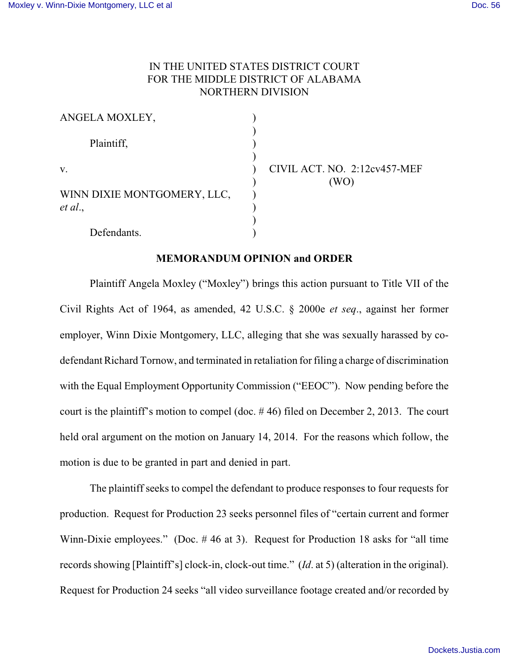## IN THE UNITED STATES DISTRICT COURT FOR THE MIDDLE DISTRICT OF ALABAMA NORTHERN DIVISION

| ANGELA MOXLEY,                         |      |
|----------------------------------------|------|
| Plaintiff,                             |      |
| V.                                     | CIVI |
| WINN DIXIE MONTGOMERY, LLC,<br>et al., |      |
| Defendants.                            |      |

L ACT. NO. 2:12cv457-MEF  $(WO)$ 

## **MEMORANDUM OPINION and ORDER**

Plaintiff Angela Moxley ("Moxley") brings this action pursuant to Title VII of the Civil Rights Act of 1964, as amended, 42 U.S.C. § 2000e *et seq*., against her former employer, Winn Dixie Montgomery, LLC, alleging that she was sexually harassed by codefendant Richard Tornow, and terminated in retaliation for filing a charge of discrimination with the Equal Employment Opportunity Commission ("EEOC"). Now pending before the court is the plaintiff's motion to compel (doc. # 46) filed on December 2, 2013. The court held oral argument on the motion on January 14, 2014. For the reasons which follow, the motion is due to be granted in part and denied in part.

The plaintiff seeks to compel the defendant to produce responses to four requests for production. Request for Production 23 seeks personnel files of "certain current and former Winn-Dixie employees." (Doc. #46 at 3). Request for Production 18 asks for "all time records showing [Plaintiff's] clock-in, clock-out time." (*Id*. at 5) (alteration in the original). Request for Production 24 seeks "all video surveillance footage created and/or recorded by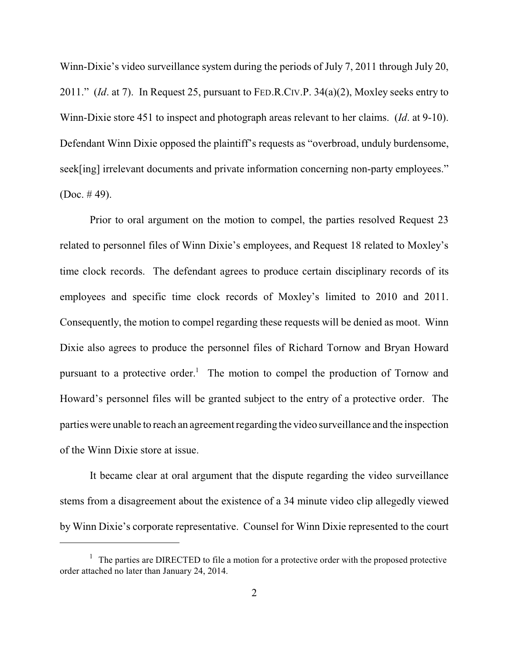Winn-Dixie's video surveillance system during the periods of July 7, 2011 through July 20, 2011." (*Id*. at 7). In Request 25, pursuant to FED.R.CIV.P. 34(a)(2), Moxley seeks entry to Winn-Dixie store 451 to inspect and photograph areas relevant to her claims. (*Id*. at 9-10). Defendant Winn Dixie opposed the plaintiff's requests as "overbroad, unduly burdensome, seek[ing] irrelevant documents and private information concerning non-party employees." (Doc.  $#49$ ).

Prior to oral argument on the motion to compel, the parties resolved Request 23 related to personnel files of Winn Dixie's employees, and Request 18 related to Moxley's time clock records. The defendant agrees to produce certain disciplinary records of its employees and specific time clock records of Moxley's limited to 2010 and 2011. Consequently, the motion to compel regarding these requests will be denied as moot. Winn Dixie also agrees to produce the personnel files of Richard Tornow and Bryan Howard pursuant to a protective order.<sup>1</sup> The motion to compel the production of Tornow and Howard's personnel files will be granted subject to the entry of a protective order. The parties were unable to reach an agreement regarding the video surveillance and the inspection of the Winn Dixie store at issue.

It became clear at oral argument that the dispute regarding the video surveillance stems from a disagreement about the existence of a 34 minute video clip allegedly viewed by Winn Dixie's corporate representative. Counsel for Winn Dixie represented to the court

 $\frac{1}{1}$  The parties are DIRECTED to file a motion for a protective order with the proposed protective order attached no later than January 24, 2014.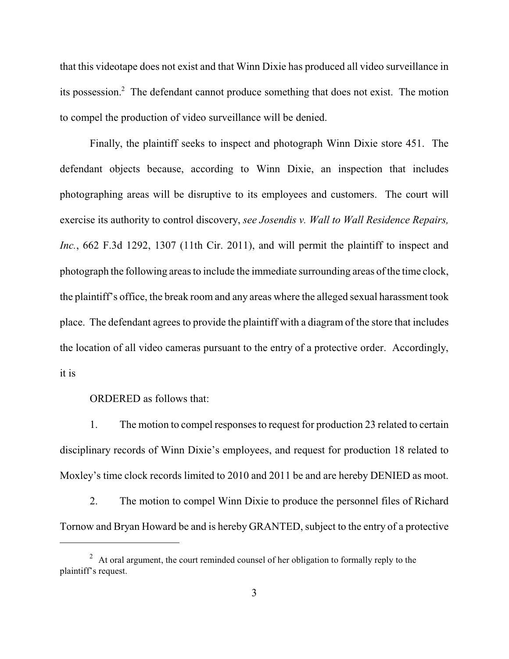that this videotape does not exist and that Winn Dixie has produced all video surveillance in its possession.<sup>2</sup> The defendant cannot produce something that does not exist. The motion to compel the production of video surveillance will be denied.

Finally, the plaintiff seeks to inspect and photograph Winn Dixie store 451. The defendant objects because, according to Winn Dixie, an inspection that includes photographing areas will be disruptive to its employees and customers. The court will exercise its authority to control discovery, *see Josendis v. Wall to Wall Residence Repairs, Inc.*, 662 F.3d 1292, 1307 (11th Cir. 2011), and will permit the plaintiff to inspect and photograph the following areas to include the immediate surrounding areas of the time clock, the plaintiff's office, the break room and any areas where the alleged sexual harassment took place. The defendant agrees to provide the plaintiff with a diagram of the store that includes the location of all video cameras pursuant to the entry of a protective order. Accordingly, it is

ORDERED as follows that:

1. The motion to compel responses to request for production 23 related to certain disciplinary records of Winn Dixie's employees, and request for production 18 related to Moxley's time clock records limited to 2010 and 2011 be and are hereby DENIED as moot.

2. The motion to compel Winn Dixie to produce the personnel files of Richard Tornow and Bryan Howard be and is hereby GRANTED, subject to the entry of a protective

 $\mu$  At oral argument, the court reminded counsel of her obligation to formally reply to the plaintiff's request.